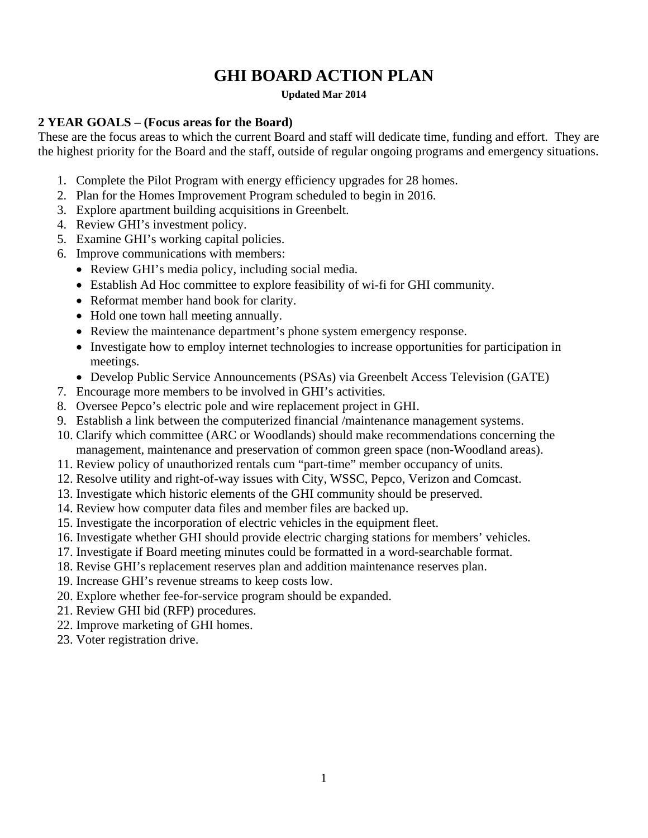# **GHI BOARD ACTION PLAN**

#### **Updated Mar 2014**

### **2 YEAR GOALS – (Focus areas for the Board)**

These are the focus areas to which the current Board and staff will dedicate time, funding and effort. They are the highest priority for the Board and the staff, outside of regular ongoing programs and emergency situations.

- 1. Complete the Pilot Program with energy efficiency upgrades for 28 homes.
- 2. Plan for the Homes Improvement Program scheduled to begin in 2016.
- 3. Explore apartment building acquisitions in Greenbelt.
- 4. Review GHI's investment policy.
- 5. Examine GHI's working capital policies.
- 6. Improve communications with members:
	- Review GHI's media policy, including social media.
	- Establish Ad Hoc committee to explore feasibility of wi-fi for GHI community.
	- Reformat member hand book for clarity.
	- Hold one town hall meeting annually.
	- Review the maintenance department's phone system emergency response.
	- Investigate how to employ internet technologies to increase opportunities for participation in meetings.
	- Develop Public Service Announcements (PSAs) via Greenbelt Access Television (GATE)
- 7. Encourage more members to be involved in GHI's activities.
- 8. Oversee Pepco's electric pole and wire replacement project in GHI.
- 9. Establish a link between the computerized financial /maintenance management systems.
- 10. Clarify which committee (ARC or Woodlands) should make recommendations concerning the management, maintenance and preservation of common green space (non-Woodland areas).
- 11. Review policy of unauthorized rentals cum "part-time" member occupancy of units.
- 12. Resolve utility and right-of-way issues with City, WSSC, Pepco, Verizon and Comcast.
- 13. Investigate which historic elements of the GHI community should be preserved.
- 14. Review how computer data files and member files are backed up.
- 15. Investigate the incorporation of electric vehicles in the equipment fleet.
- 16. Investigate whether GHI should provide electric charging stations for members' vehicles.
- 17. Investigate if Board meeting minutes could be formatted in a word-searchable format.
- 18. Revise GHI's replacement reserves plan and addition maintenance reserves plan.
- 19. Increase GHI's revenue streams to keep costs low.
- 20. Explore whether fee-for-service program should be expanded.
- 21. Review GHI bid (RFP) procedures.
- 22. Improve marketing of GHI homes.
- 23. Voter registration drive.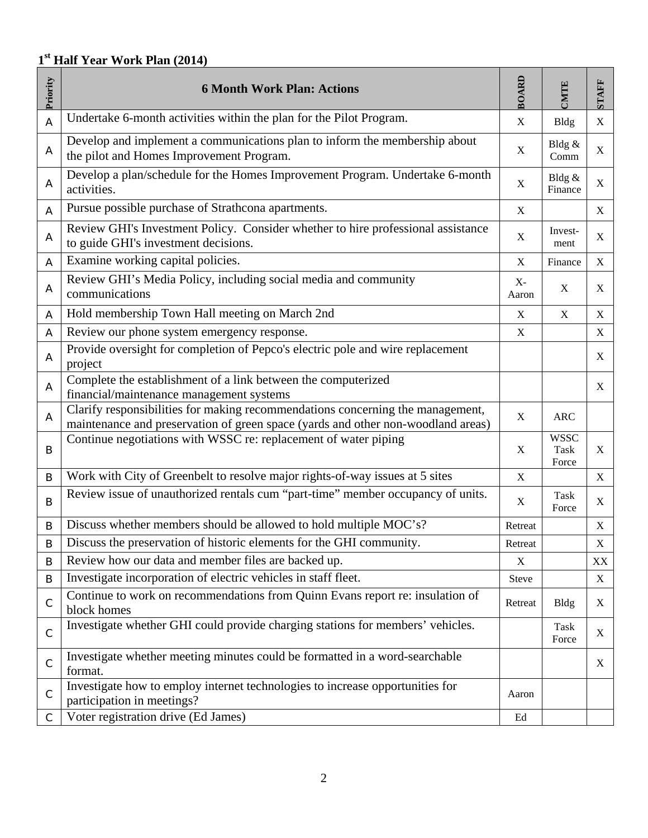## **1st Half Year Work Plan (2014)**

| Priority     | <b>6 Month Work Plan: Actions</b>                                                                                                                                  | <b>BOARD</b>   | <b>CMTE</b>                  | <b>STAFF</b> |
|--------------|--------------------------------------------------------------------------------------------------------------------------------------------------------------------|----------------|------------------------------|--------------|
| Α            | Undertake 6-month activities within the plan for the Pilot Program.                                                                                                | X              | <b>Bldg</b>                  | X            |
| A            | Develop and implement a communications plan to inform the membership about<br>the pilot and Homes Improvement Program.                                             | X              | Bldg &<br>Comm               | X            |
| A            | Develop a plan/schedule for the Homes Improvement Program. Undertake 6-month<br>activities.                                                                        | X              | Bldg &<br>Finance            | X            |
| A            | Pursue possible purchase of Strathcona apartments.                                                                                                                 | X              |                              | X            |
| A            | Review GHI's Investment Policy. Consider whether to hire professional assistance<br>to guide GHI's investment decisions.                                           | X              | Invest-<br>ment              | X            |
| Α            | Examine working capital policies.                                                                                                                                  | X              | Finance                      | X            |
| A            | Review GHI's Media Policy, including social media and community<br>communications                                                                                  | $X -$<br>Aaron | X                            | X            |
| Α            | Hold membership Town Hall meeting on March 2nd                                                                                                                     | X              | X                            | X            |
| A            | Review our phone system emergency response.                                                                                                                        | X              |                              | X            |
| A            | Provide oversight for completion of Pepco's electric pole and wire replacement<br>project                                                                          |                |                              | X            |
| Α            | Complete the establishment of a link between the computerized<br>financial/maintenance management systems                                                          |                |                              | X            |
| A            | Clarify responsibilities for making recommendations concerning the management,<br>maintenance and preservation of green space (yards and other non-woodland areas) | X              | <b>ARC</b>                   |              |
| B            | Continue negotiations with WSSC re: replacement of water piping                                                                                                    | X              | <b>WSSC</b><br>Task<br>Force | X            |
| B            | Work with City of Greenbelt to resolve major rights-of-way issues at 5 sites                                                                                       | X              |                              | X            |
| B            | Review issue of unauthorized rentals cum "part-time" member occupancy of units.                                                                                    | X              | <b>Task</b><br>Force         | X            |
| B            | Discuss whether members should be allowed to hold multiple MOC's?                                                                                                  | Retreat        |                              | X            |
| Β            | Discuss the preservation of historic elements for the GHI community.                                                                                               | Retreat        |                              | $\mathbf X$  |
| B            | Review how our data and member files are backed up.                                                                                                                | X              |                              | XX           |
| B            | Investigate incorporation of electric vehicles in staff fleet.                                                                                                     | Steve          |                              | X            |
| $\mathsf{C}$ | Continue to work on recommendations from Quinn Evans report re: insulation of<br>block homes                                                                       | Retreat        | <b>Bldg</b>                  | X            |
| $\mathsf C$  | Investigate whether GHI could provide charging stations for members' vehicles.                                                                                     |                | Task<br>Force                | X.           |
| C            | Investigate whether meeting minutes could be formatted in a word-searchable<br>format.                                                                             |                |                              | X            |
| $\mathsf{C}$ | Investigate how to employ internet technologies to increase opportunities for<br>participation in meetings?                                                        | Aaron          |                              |              |
| C            | Voter registration drive (Ed James)                                                                                                                                | Ed             |                              |              |